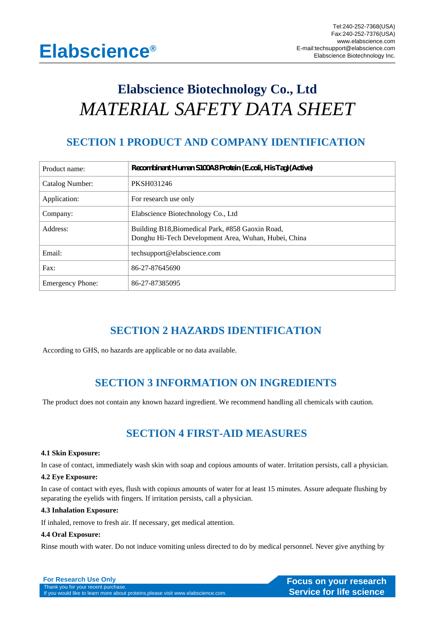# **Elabscience Biotechnology Co., Ltd** *MATERIAL SAFETY DATA SHEET*

# **SECTION 1 PRODUCT AND COMPANY IDENTIFICATION**

| Product name:           | Recombinant Human S100A8Protein (Ecoli, His Tag) (Active)                                                |
|-------------------------|----------------------------------------------------------------------------------------------------------|
| Catalog Number:         | PKSH031246                                                                                               |
| Application:            | For research use only                                                                                    |
| Company:                | Elabscience Biotechnology Co., Ltd                                                                       |
| Address:                | Building B18, Biomedical Park, #858 Gaoxin Road,<br>Donghu Hi-Tech Development Area, Wuhan, Hubei, China |
| Email:                  | techsupport@elabscience.com                                                                              |
| Fax:                    | 86-27-87645690                                                                                           |
| <b>Emergency Phone:</b> | 86-27-87385095                                                                                           |

# **SECTION 2 HAZARDS IDENTIFICATION**

According to GHS, no hazards are applicable or no data available.

# **SECTION 3 INFORMATION ON INGREDIENTS**

The product does not contain any known hazard ingredient. We recommend handling all chemicals with caution.

# **SECTION 4 FIRST-AID MEASURES**

### **4.1 Skin Exposure:**

In case of contact, immediately wash skin with soap and copious amounts of water. Irritation persists, call a physician.

### **4.2 Eye Exposure:**

In case of contact with eyes, flush with copious amounts of water for at least 15 minutes. Assure adequate flushing by separating the eyelids with fingers. If irritation persists, call a physician.

### **4.3 Inhalation Exposure:**

If inhaled, remove to fresh air. If necessary, get medical attention.

### **4.4 Oral Exposure:**

Rinse mouth with water. Do not induce vomiting unless directed to do by medical personnel. Never give anything by

**For Research Use Only and Science of The Course on your research Thank you for your research**<br> **Focus on your research**<br> **Course of the Course of the Course of the Course of the Course of the Course of the Course of the C** Thank you for your recent purchase.<br>If you would like to learn more about proteins,please visit www.elabscience.com.<br>**If you would like to learn more about proteins,please visit www.elabscience.com.**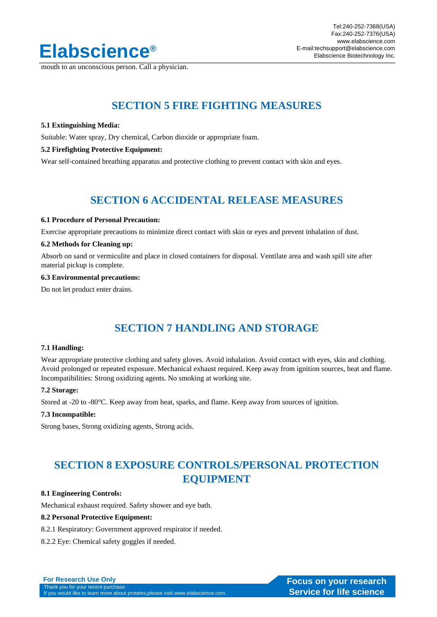

mouth to an unconscious person. Call a physician.

# **SECTION 5 FIRE FIGHTING MEASURES**

### **5.1 Extinguishing Media:**

Suitable: Water spray, Dry chemical, Carbon dioxide or appropriate foam.

### **5.2 Firefighting Protective Equipment:**

Wear self-contained breathing apparatus and protective clothing to prevent contact with skin and eyes.

### **SECTION 6 ACCIDENTAL RELEASE MEASURES**

### **6.1 Procedure of Personal Precaution:**

Exercise appropriate precautions to minimize direct contact with skin or eyes and prevent inhalation of dust.

### **6.2 Methods for Cleaning up:**

Absorb on sand or vermiculite and place in closed containers for disposal. Ventilate area and wash spill site after material pickup is complete.

#### **6.3 Environmental precautions:**

Do not let product enter drains.

# **SECTION 7 HANDLING AND STORAGE**

### **7.1 Handling:**

Wear appropriate protective clothing and safety gloves. Avoid inhalation. Avoid contact with eyes, skin and clothing. Avoid prolonged or repeated exposure. Mechanical exhaust required. Keep away from ignition sources, heat and flame. Incompatibilities: Strong oxidizing agents. No smoking at working site.

### **7.2 Storage:**

Stored at -20 to -80°C. Keep away from heat, sparks, and flame. Keep away from sources of ignition.

is,please visit www.elabscience.com.

#### **7.3 Incompatible:**

Strong bases, Strong oxidizing agents, Strong acids.

# **SECTION 8 EXPOSURE CONTROLS/PERSONAL PROTECTION EQUIPMENT**

### **8.1 Engineering Controls:**

Mechanical exhaust required. Safety shower and eye bath.

### **8.2 Personal Protective Equipment:**

8.2.1 Respiratory: Government approved respirator if needed.

8.2.2 Eye: Chemical safety goggles if needed.

| <b>For Research Use Only</b>                 |
|----------------------------------------------|
| Thank you for your recent purchase.          |
| If you would like to learn more about protei |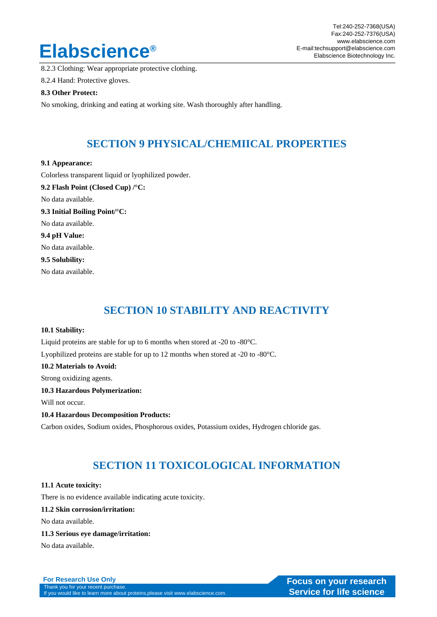# Elabscience E-mail:techsupport@elabscience.com

8.2.3 Clothing: Wear appropriate protective clothing.

8.2.4 Hand: Protective gloves.

### **8.3 Other Protect:**

No smoking, drinking and eating at working site. Wash thoroughly after handling.

### **SECTION 9 PHYSICAL/CHEMIICAL PROPERTIES**

### **9.1 Appearance:**

Colorless transparent liquid or lyophilized powder. **9.2 Flash Point (Closed Cup) /°C:** No data available. **9.3 Initial Boiling Point/°C:** No data available. **9.4 pH Value:** No data available. **9.5 Solubility:**

No data available.

# **SECTION 10 STABILITY AND REACTIVITY**

### **10.1 Stability:**

Liquid proteins are stable for up to 6 months when stored at -20 to -80°C. Lyophilized proteins are stable for up to 12 months when stored at -20 to -80°C. **10.2 Materials to Avoid:** Strong oxidizing agents. **10.3 Hazardous Polymerization:** Will not occur. **10.4 Hazardous Decomposition Products:** Carbon oxides, Sodium oxides, Phosphorous oxides, Potassium oxides, Hydrogen chloride gas.

# **SECTION 11 TOXICOLOGICAL INFORMATION**

### **11.1 Acute toxicity:**

There is no evidence available indicating acute toxicity.

### **11.2 Skin corrosion/irritation:**

No data available.

### **11.3 Serious eye damage/irritation:**

No data available.

**For Research Use Only and Science of The Course on your research Thank you for your research**<br> **Focus on your research**<br> **Course of the Course of the Course of the Course of the Course of the Course of the Course of the C** Thank you for your recent purchase.<br>If you would like to learn more about proteins,please visit www.elabscience.com.<br>**If you would like to learn more about proteins,please visit www.elabscience.com.**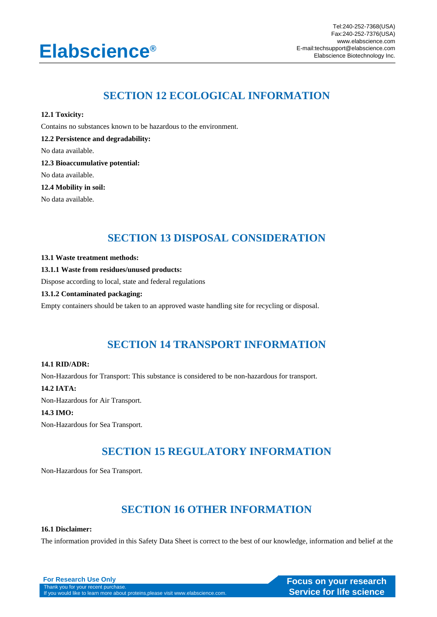# Elabscience E-mail:techsupport@elabscience.com

# **SECTION 12 ECOLOGICAL INFORMATION**

**12.1 Toxicity:**

Contains no substances known to be hazardous to the environment.

**12.2 Persistence and degradability:**

No data available.

**12.3 Bioaccumulative potential:**

No data available.

**12.4 Mobility in soil:**

No data available.

### **SECTION 13 DISPOSAL CONSIDERATION**

### **13.1 Waste treatment methods:**

### **13.1.1 Waste from residues/unused products:**

Dispose according to local, state and federal regulations

### **13.1.2 Contaminated packaging:**

Empty containers should be taken to an approved waste handling site for recycling or disposal.

# **SECTION 14 TRANSPORT INFORMATION**

### **14.1 RID/ADR:**

Non-Hazardous for Transport: This substance is considered to be non-hazardous for transport.

### **14.2 IATA:**

Non-Hazardous for Air Transport.

### **14.3 IMO:**

Non-Hazardous for Sea Transport.

# **SECTION 15 REGULATORY INFORMATION**

Non-Hazardous for Sea Transport.

# **SECTION 16 OTHER INFORMATION**

### **16.1 Disclaimer:**

The information provided in this Safety Data Sheet is correct to the best of our knowledge, information and belief at the

**For Research Use Only<br>
Thank you for your recent purchase.**<br> **Thank you for your recent purchase.** Thank you for your recent purchase.<br>If you would like to learn more about proteins,please visit www.elabscience.com.<br>**If you would like to learn more about proteins,please visit www.elabscience.com.**